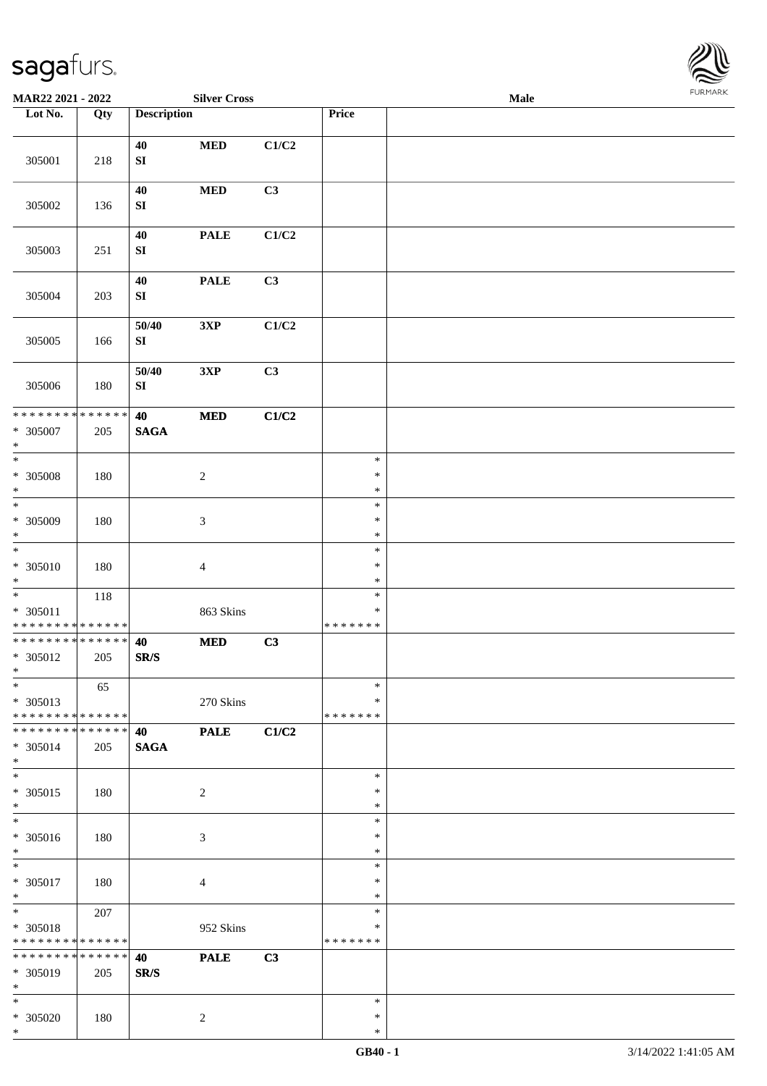

| MAR22 2021 - 2022                                            |     |                        | <b>Silver Cross</b>                |                           |                                   | <b>FURMARK</b><br>Male |  |  |  |  |
|--------------------------------------------------------------|-----|------------------------|------------------------------------|---------------------------|-----------------------------------|------------------------|--|--|--|--|
| Lot No.                                                      | Qty | <b>Description</b>     |                                    |                           | Price                             |                        |  |  |  |  |
| 305001                                                       | 218 | 40<br>${\bf S}{\bf I}$ | $\bf MED$                          | C1/C2                     |                                   |                        |  |  |  |  |
| 305002                                                       | 136 | 40<br>${\bf S}{\bf I}$ | $\bf MED$                          | C3                        |                                   |                        |  |  |  |  |
| 305003                                                       | 251 | 40<br>${\bf S}{\bf I}$ | $\ensuremath{\mathbf{PAL}}\xspace$ | $\mathbf{C1}/\mathbf{C2}$ |                                   |                        |  |  |  |  |
| 305004                                                       | 203 | 40<br>${\bf S}{\bf I}$ | <b>PALE</b>                        | C3                        |                                   |                        |  |  |  |  |
| 305005                                                       | 166 | 50/40<br>${\bf SI}$    | 3XP                                | C1/C2                     |                                   |                        |  |  |  |  |
| 305006                                                       | 180 | 50/40<br>${\bf SI}$    | 3XP                                | C3                        |                                   |                        |  |  |  |  |
| * * * * * * * * * * * * * *<br>$* 305007$<br>$\ast$          | 205 | 40<br><b>SAGA</b>      | $\bf MED$                          | C1/C2                     |                                   |                        |  |  |  |  |
| $_{\ast}$<br>* 305008<br>$\ast$                              | 180 |                        | $\sqrt{2}$                         |                           | $\ast$<br>$\ast$<br>$\ast$        |                        |  |  |  |  |
| $\frac{1}{*}$<br>$* 305009$<br>$\ast$                        | 180 |                        | $\sqrt{3}$                         |                           | $\ast$<br>$\ast$<br>$\ast$        |                        |  |  |  |  |
| $\ast$<br>$* 305010$<br>$\ast$                               | 180 |                        | $\overline{4}$                     |                           | $\ast$<br>$\ast$<br>$\ast$        |                        |  |  |  |  |
| $\ast$<br>$* 305011$<br>* * * * * * * * * * * * * *          | 118 |                        | 863 Skins                          |                           | $\ast$<br>$\ast$<br>* * * * * * * |                        |  |  |  |  |
| **************<br>* 305012<br>$\ast$                         | 205 | 40<br>SR/S             | $\bf MED$                          | C3                        |                                   |                        |  |  |  |  |
| $\overline{\ast}$<br>* 305013<br>* * * * * * * * * * * * * * | 65  |                        | 270 Skins                          |                           | $\ast$<br>*<br>* * * * * * *      |                        |  |  |  |  |
| * * * * * * * * * * * * * * *<br>* 305014<br>$\ast$          | 205 | 40<br><b>SAGA</b>      | <b>PALE</b>                        | C1/C2                     |                                   |                        |  |  |  |  |
| $\overline{\phantom{a}^*}$<br>$* 305015$<br>$\ast$           | 180 |                        | $\sqrt{2}$                         |                           | $\ast$<br>*<br>$\ast$             |                        |  |  |  |  |
| $_{\ast}^{-}$<br>* 305016<br>$\ast$                          | 180 |                        | $\mathfrak{Z}$                     |                           | $\ast$<br>$\ast$<br>$\ast$        |                        |  |  |  |  |
| $\ast$<br>$* 305017$<br>$\ast$                               | 180 |                        | $\overline{4}$                     |                           | $\ast$<br>$\ast$<br>$\ast$        |                        |  |  |  |  |
| $\ast$<br>* 305018<br>* * * * * * * * * * * * * * *          | 207 |                        | 952 Skins                          |                           | $\ast$<br>∗<br>* * * * * * *      |                        |  |  |  |  |
| * * * * * * * * * * * * * * *<br>* 305019<br>$\ast$          | 205 | 40<br>SR/S             | <b>PALE</b>                        | C3                        |                                   |                        |  |  |  |  |
| $\ast$<br>* 305020<br>$\ast$                                 | 180 |                        | $\overline{c}$                     |                           | $\ast$<br>$\ast$<br>$\ast$        |                        |  |  |  |  |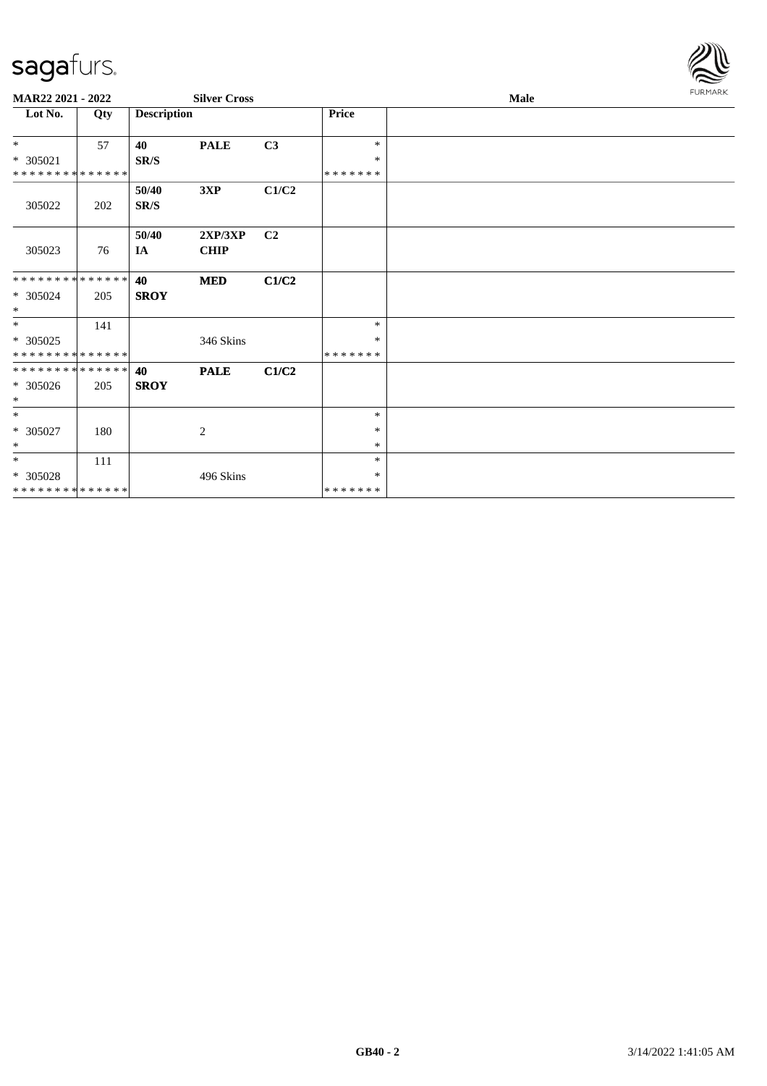

| MAR22 2021 - 2022           |     |                    | <b>Silver Cross</b> |                |               | <b>Male</b> |  |  |  |  |
|-----------------------------|-----|--------------------|---------------------|----------------|---------------|-------------|--|--|--|--|
| Lot No.                     | Qty | <b>Description</b> |                     |                | Price         |             |  |  |  |  |
| $*$                         | 57  | 40                 | <b>PALE</b>         | C3             | $\ast$        |             |  |  |  |  |
| $* 305021$                  |     | SR/S               |                     |                | $\ast$        |             |  |  |  |  |
| * * * * * * * * * * * * * * |     |                    |                     |                | *******       |             |  |  |  |  |
|                             |     | 50/40              | 3XP                 | C1/C2          |               |             |  |  |  |  |
| 305022                      | 202 | SR/S               |                     |                |               |             |  |  |  |  |
|                             |     | 50/40              | 2XP/3XP             | C <sub>2</sub> |               |             |  |  |  |  |
| 305023                      | 76  | IA                 | <b>CHIP</b>         |                |               |             |  |  |  |  |
|                             |     |                    |                     |                |               |             |  |  |  |  |
| * * * * * * * * * * * * * * |     | 40                 | <b>MED</b>          | C1/C2          |               |             |  |  |  |  |
| $* 305024$                  | 205 | <b>SROY</b>        |                     |                |               |             |  |  |  |  |
| $*$                         |     |                    |                     |                |               |             |  |  |  |  |
| $*$                         | 141 |                    |                     |                | $\ast$        |             |  |  |  |  |
| * 305025                    |     |                    | 346 Skins           |                | ∗             |             |  |  |  |  |
| * * * * * * * * * * * * * * |     |                    |                     |                | *******       |             |  |  |  |  |
| * * * * * * * * * * * * * * |     | 40                 | <b>PALE</b>         | C1/C2          |               |             |  |  |  |  |
| * 305026                    | 205 | <b>SROY</b>        |                     |                |               |             |  |  |  |  |
| $\ast$                      |     |                    |                     |                |               |             |  |  |  |  |
| $\ast$                      |     |                    |                     |                | $\ast$        |             |  |  |  |  |
| $* 305027$                  | 180 |                    | 2                   |                | $\ast$        |             |  |  |  |  |
| $*$                         |     |                    |                     |                | $\ast$        |             |  |  |  |  |
| $\ast$                      | 111 |                    |                     |                | $\ast$        |             |  |  |  |  |
| $* 305028$                  |     |                    | 496 Skins           |                | ∗             |             |  |  |  |  |
| * * * * * * * * * * * * * * |     |                    |                     |                | * * * * * * * |             |  |  |  |  |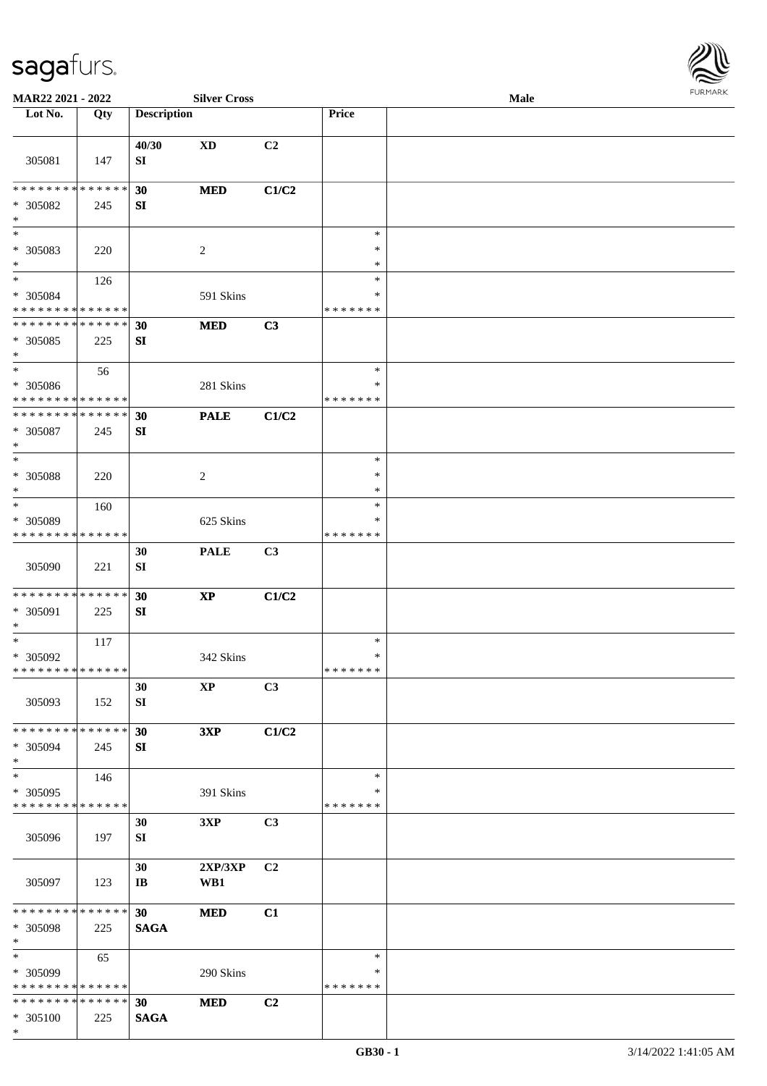

| MAR22 2021 - 2022                                                     |     |                                | <b>Silver Cross</b>    |       |                                   | Male |  |
|-----------------------------------------------------------------------|-----|--------------------------------|------------------------|-------|-----------------------------------|------|--|
| Lot No.                                                               | Qty | <b>Description</b>             |                        |       | Price                             |      |  |
| 305081                                                                | 147 | 40/30<br>SI                    | $\mathbf{X}\mathbf{D}$ | C2    |                                   |      |  |
| * * * * * * * * * * * * * *<br>* 305082<br>$\ast$                     | 245 | 30<br>SI                       | <b>MED</b>             | C1/C2 |                                   |      |  |
| $\overline{\phantom{0}}$<br>* 305083<br>$\ast$                        | 220 |                                | $\overline{c}$         |       | $\ast$<br>$\ast$<br>$\ast$        |      |  |
| $\overline{\phantom{a}^*}$<br>* 305084<br>* * * * * * * * * * * * * * | 126 |                                | 591 Skins              |       | $\ast$<br>*<br>* * * * * * *      |      |  |
| * * * * * * * * * * * * * *<br>* 305085<br>$\ast$                     | 225 | 30<br>${\bf S}{\bf I}$         | <b>MED</b>             | C3    |                                   |      |  |
| $\ast$<br>$* 305086$<br>* * * * * * * * * * * * * *                   | 56  |                                | 281 Skins              |       | $\ast$<br>$\ast$<br>* * * * * * * |      |  |
| * * * * * * * * * * * * * *<br>* 305087<br>$\ast$                     | 245 | 30<br>SI                       | <b>PALE</b>            | C1/C2 |                                   |      |  |
| $\ast$<br>$* 305088$<br>$\ast$                                        | 220 |                                | $\sqrt{2}$             |       | $\ast$<br>$\ast$<br>*             |      |  |
| $\ast$<br>* 305089<br>* * * * * * * * * * * * * *                     | 160 |                                | 625 Skins              |       | $\ast$<br>∗<br>* * * * * * *      |      |  |
| 305090                                                                | 221 | 30<br>${\bf S}{\bf I}$         | <b>PALE</b>            | C3    |                                   |      |  |
| **************<br>* 305091<br>$\ast$                                  | 225 | 30<br>SI                       | $\mathbf{X}\mathbf{P}$ | C1/C2 |                                   |      |  |
| $\ast$<br>$* 305092$<br>**************                                | 117 |                                | 342 Skins              |       | $\ast$<br>$\ast$<br>* * * * * * * |      |  |
| 305093                                                                | 152 | 30<br>SI                       | $\mathbf{X}\mathbf{P}$ | C3    |                                   |      |  |
| * * * * * * * * * * * * * *<br>* 305094<br>$\ast$                     | 245 | 30<br>SI                       | 3XP                    | C1/C2 |                                   |      |  |
| $\ast$<br>* 305095<br>* * * * * * * * * * * * * *                     | 146 |                                | 391 Skins              |       | $\ast$<br>∗<br>* * * * * * *      |      |  |
| 305096                                                                | 197 | 30<br>SI                       | 3XP                    | C3    |                                   |      |  |
| 305097                                                                | 123 | 30<br>$\mathbf{I}\mathbf{B}$   | 2XP/3XP<br>WB1         | C2    |                                   |      |  |
| * * * * * * * * * * * * * * *<br>* 305098<br>$\ast$                   | 225 | 30 <sup>°</sup><br><b>SAGA</b> | <b>MED</b>             | C1    |                                   |      |  |
| $\ast$<br>* 305099<br>* * * * * * * * * * * * * *                     | 65  |                                | 290 Skins              |       | $\ast$<br>∗<br>* * * * * * *      |      |  |
| * * * * * * * * * * * * * *<br>* 305100<br>$\ast$                     | 225 | 30<br><b>SAGA</b>              | <b>MED</b>             | C2    |                                   |      |  |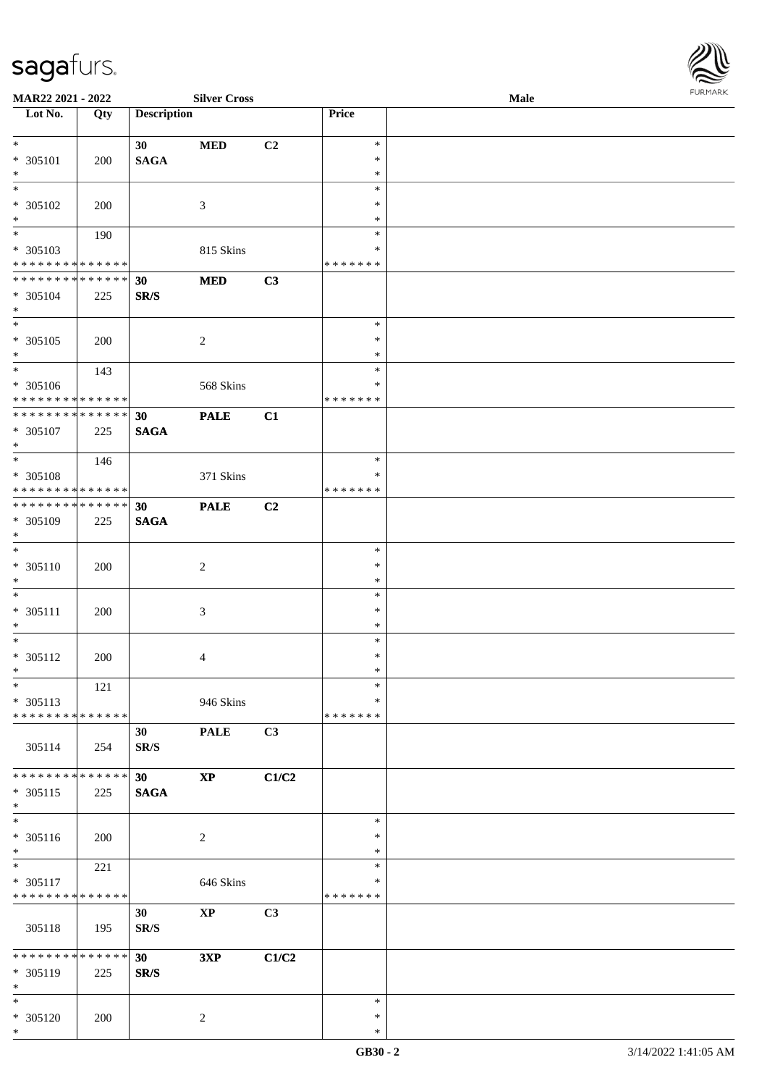

| MAR22 2021 - 2022             |     |                    | <b>Silver Cross</b>    |                |               | Male | 101111111111 |
|-------------------------------|-----|--------------------|------------------------|----------------|---------------|------|--------------|
| Lot No.                       | Qty | <b>Description</b> |                        |                | Price         |      |              |
|                               |     |                    |                        |                |               |      |              |
| $*$                           |     | 30                 | <b>MED</b>             | C <sub>2</sub> | $\ast$        |      |              |
| * 305101                      | 200 | <b>SAGA</b>        |                        |                | $\ast$        |      |              |
| $\ast$                        |     |                    |                        |                | $\ast$        |      |              |
| $*$                           |     |                    |                        |                | $\ast$        |      |              |
|                               |     |                    |                        |                |               |      |              |
| $* 305102$                    | 200 |                    | 3                      |                | $\ast$        |      |              |
| $\ast$                        |     |                    |                        |                | $\ast$        |      |              |
|                               | 190 |                    |                        |                | $\ast$        |      |              |
| * 305103                      |     |                    | 815 Skins              |                | *             |      |              |
| * * * * * * * * * * * * * *   |     |                    |                        |                | *******       |      |              |
| * * * * * * * * * * * * * * * |     |                    | <b>MED</b>             | C3             |               |      |              |
|                               |     | 30                 |                        |                |               |      |              |
| * 305104                      | 225 | SR/S               |                        |                |               |      |              |
| $*$                           |     |                    |                        |                |               |      |              |
| $\overline{\phantom{0}}$      |     |                    |                        |                | $\ast$        |      |              |
| $* 305105$                    | 200 |                    | $\overline{2}$         |                | $\ast$        |      |              |
| $*$                           |     |                    |                        |                | $\ast$        |      |              |
| $*$                           |     |                    |                        |                | $\ast$        |      |              |
|                               | 143 |                    |                        |                |               |      |              |
| $* 305106$                    |     |                    | 568 Skins              |                | $\ast$        |      |              |
| * * * * * * * * * * * * * *   |     |                    |                        |                | *******       |      |              |
| ******** <mark>******</mark>  |     | 30                 | <b>PALE</b>            | C1             |               |      |              |
| $* 305107$                    | 225 | <b>SAGA</b>        |                        |                |               |      |              |
| $*$                           |     |                    |                        |                |               |      |              |
| $*$                           | 146 |                    |                        |                | $\ast$        |      |              |
|                               |     |                    |                        |                |               |      |              |
| * 305108                      |     |                    | 371 Skins              |                | $\ast$        |      |              |
| * * * * * * * * * * * * * *   |     |                    |                        |                | *******       |      |              |
| * * * * * * * * * * * * * * * |     | 30                 | <b>PALE</b>            | C2             |               |      |              |
| * 305109                      | 225 | <b>SAGA</b>        |                        |                |               |      |              |
| $*$                           |     |                    |                        |                |               |      |              |
| $*$                           |     |                    |                        |                | $\ast$        |      |              |
|                               |     |                    |                        |                |               |      |              |
| * 305110                      | 200 |                    | $\sqrt{2}$             |                | $\ast$        |      |              |
| $*$                           |     |                    |                        |                | $\ast$        |      |              |
| $*$                           |     |                    |                        |                | $\ast$        |      |              |
| $* 305111$                    | 200 |                    | $\mathfrak{Z}$         |                | $\ast$        |      |              |
| $*$                           |     |                    |                        |                | $\ast$        |      |              |
| $*$                           |     |                    |                        |                | $\ast$        |      |              |
|                               |     |                    |                        |                |               |      |              |
| $* 305112$                    | 200 |                    | 4                      |                | $\ast$        |      |              |
| $*$ $-$                       |     |                    |                        |                | $\ast$        |      |              |
| $*$                           | 121 |                    |                        |                | $\ast$        |      |              |
| $* 305113$                    |     |                    | 946 Skins              |                | $\ast$        |      |              |
| * * * * * * * * * * * * * *   |     |                    |                        |                | * * * * * * * |      |              |
|                               |     | 30                 | <b>PALE</b>            | C3             |               |      |              |
|                               |     |                    |                        |                |               |      |              |
| 305114                        | 254 | SR/S               |                        |                |               |      |              |
|                               |     |                    |                        |                |               |      |              |
| * * * * * * * * * * * * * * * |     | 30                 | $\mathbf{X}\mathbf{P}$ | C1/C2          |               |      |              |
| $* 305115$                    | 225 | <b>SAGA</b>        |                        |                |               |      |              |
| $*$                           |     |                    |                        |                |               |      |              |
| $*$                           |     |                    |                        |                | $\ast$        |      |              |
|                               |     |                    |                        |                | $\ast$        |      |              |
| $* 305116$                    | 200 |                    | $\overline{c}$         |                |               |      |              |
| $*$                           |     |                    |                        |                | $\ast$        |      |              |
| $*$                           | 221 |                    |                        |                | $\ast$        |      |              |
| * 305117                      |     |                    | 646 Skins              |                | ∗             |      |              |
| * * * * * * * * * * * * * *   |     |                    |                        |                | *******       |      |              |
|                               |     | 30                 | $\bold{XP}$            | C3             |               |      |              |
|                               |     |                    |                        |                |               |      |              |
| 305118                        | 195 | SR/S               |                        |                |               |      |              |
|                               |     |                    |                        |                |               |      |              |
| ******** <mark>******</mark>  |     | 30                 | 3XP                    | C1/C2          |               |      |              |
| * 305119                      | 225 | SR/S               |                        |                |               |      |              |
| $*$                           |     |                    |                        |                |               |      |              |
| $*$                           |     |                    |                        |                | $\ast$        |      |              |
|                               |     |                    |                        |                |               |      |              |
| * 305120                      | 200 |                    | 2                      |                | $\ast$        |      |              |
| $*$                           |     |                    |                        |                | $\ast$        |      |              |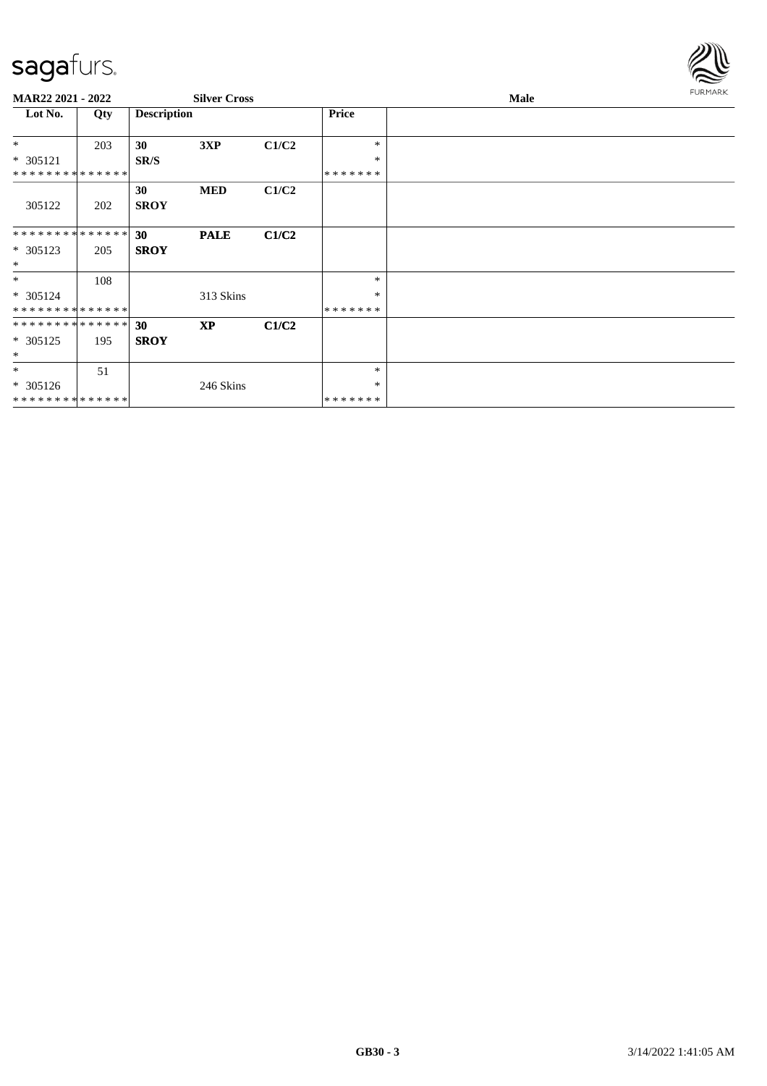

| MAR22 2021 - 2022                                 |     |                    | <b>Silver Cross</b> |       |                             | <b>FURMARK</b><br><b>Male</b> |  |  |
|---------------------------------------------------|-----|--------------------|---------------------|-------|-----------------------------|-------------------------------|--|--|
| Lot No.                                           | Qty | <b>Description</b> |                     |       | Price                       |                               |  |  |
| $*$                                               | 203 | 30                 | 3XP                 | C1/C2 | $\ast$<br>$\ast$            |                               |  |  |
| $* 305121$<br>* * * * * * * * * * * * * *         |     | SR/S               |                     |       | *******                     |                               |  |  |
| 305122                                            | 202 | 30<br><b>SROY</b>  | <b>MED</b>          | C1/C2 |                             |                               |  |  |
| * * * * * * * * * * * * * *<br>* 305123<br>$*$    | 205 | 30<br><b>SROY</b>  | <b>PALE</b>         | C1/C2 |                             |                               |  |  |
| $*$<br>* 305124<br>* * * * * * * * * * * * * *    | 108 |                    | 313 Skins           |       | $\ast$<br>*<br>*******      |                               |  |  |
| * * * * * * * * * * * * * *<br>* 305125<br>$\ast$ | 195 | 30<br><b>SROY</b>  | <b>XP</b>           | C1/C2 |                             |                               |  |  |
| $*$<br>* 305126<br>* * * * * * * * * * * * * * *  | 51  |                    | 246 Skins           |       | $\ast$<br>$\ast$<br>******* |                               |  |  |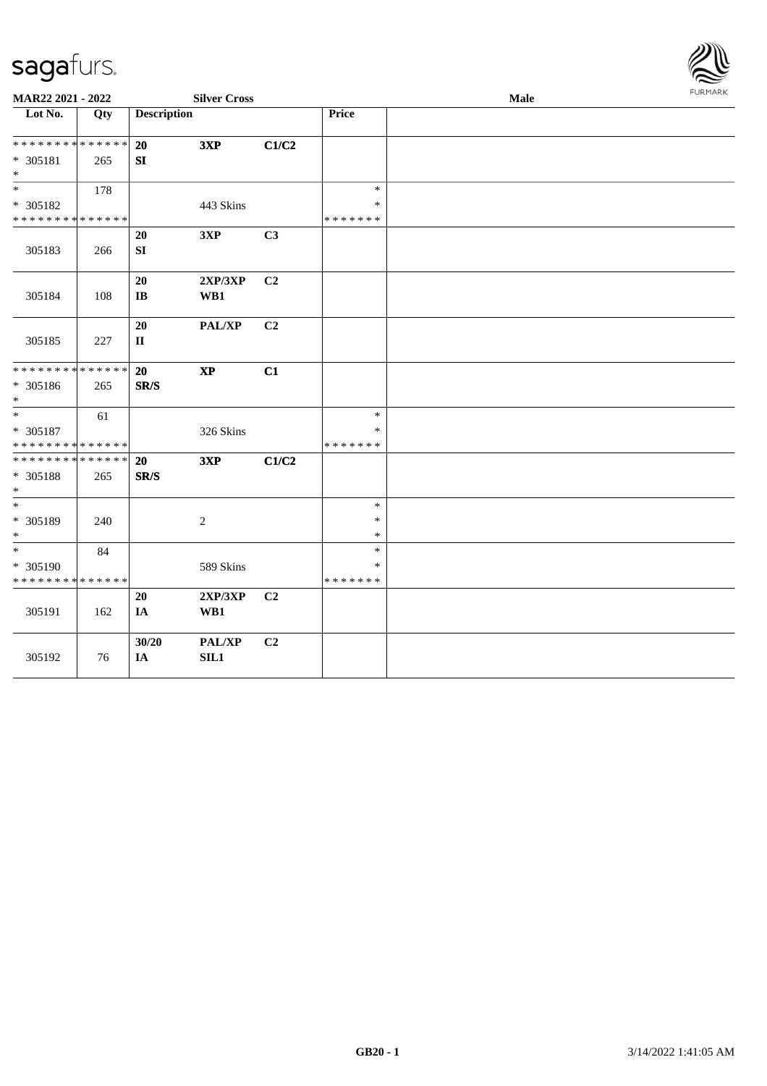

| MAR22 2021 - 2022                |     |                    | <b>Silver Cross</b>    |                |               | Male | FURMARK |
|----------------------------------|-----|--------------------|------------------------|----------------|---------------|------|---------|
| $\overline{\phantom{1}}$ Lot No. | Qty | <b>Description</b> |                        |                | Price         |      |         |
| * * * * * * * * * * * * * *      |     | 20                 | 3XP                    | C1/C2          |               |      |         |
| $* 305181$                       | 265 | SI                 |                        |                |               |      |         |
| $\ast$                           |     |                    |                        |                |               |      |         |
| $\ast$                           | 178 |                    |                        |                | $\ast$        |      |         |
| * 305182                         |     |                    | 443 Skins              |                | $\ast$        |      |         |
| * * * * * * * * * * * * * *      |     |                    |                        |                | * * * * * * * |      |         |
|                                  |     | 20                 | 3XP                    | C3             |               |      |         |
| 305183                           | 266 | ${\bf S}{\bf I}$   |                        |                |               |      |         |
|                                  |     |                    |                        |                |               |      |         |
|                                  |     | 20                 | 2XP/3XP                | C <sub>2</sub> |               |      |         |
| 305184                           | 108 | IB                 | WB1                    |                |               |      |         |
|                                  |     |                    |                        |                |               |      |         |
|                                  |     | 20                 | PAL/XP                 | C <sub>2</sub> |               |      |         |
| 305185                           | 227 | $\mathbf{I}$       |                        |                |               |      |         |
|                                  |     |                    |                        |                |               |      |         |
| * * * * * * * * * * * * * *      |     | 20                 | $\mathbf{X}\mathbf{P}$ | C1             |               |      |         |
| * 305186                         | 265 | SR/S               |                        |                |               |      |         |
| $\ast$                           |     |                    |                        |                |               |      |         |
| $\ast$                           | 61  |                    |                        |                | $\ast$        |      |         |
| * 305187                         |     |                    | 326 Skins              |                | $\ast$        |      |         |
| * * * * * * * * * * * * * *      |     |                    |                        |                | * * * * * * * |      |         |
| * * * * * * * * * * * * * *      |     | 20                 | 3XP                    | C1/C2          |               |      |         |
| * 305188                         | 265 | SR/S               |                        |                |               |      |         |
| $\ast$                           |     |                    |                        |                |               |      |         |
| $\ast$                           |     |                    |                        |                | $\ast$        |      |         |
| * 305189                         | 240 |                    | $\overline{c}$         |                | $\ast$        |      |         |
| $\ast$                           |     |                    |                        |                | $\ast$        |      |         |
| $\ast$                           | 84  |                    |                        |                | $\ast$        |      |         |
| * 305190                         |     |                    | 589 Skins              |                | $\ast$        |      |         |
| * * * * * * * * * * * * * *      |     |                    |                        |                | * * * * * * * |      |         |
|                                  |     | 20                 | 2XP/3XP                | C <sub>2</sub> |               |      |         |
| 305191                           | 162 | <b>IA</b>          | WB1                    |                |               |      |         |
|                                  |     |                    |                        |                |               |      |         |
|                                  |     | 30/20              | PAL/XP                 | C <sub>2</sub> |               |      |         |
| 305192                           | 76  | IA                 | SL1                    |                |               |      |         |
|                                  |     |                    |                        |                |               |      |         |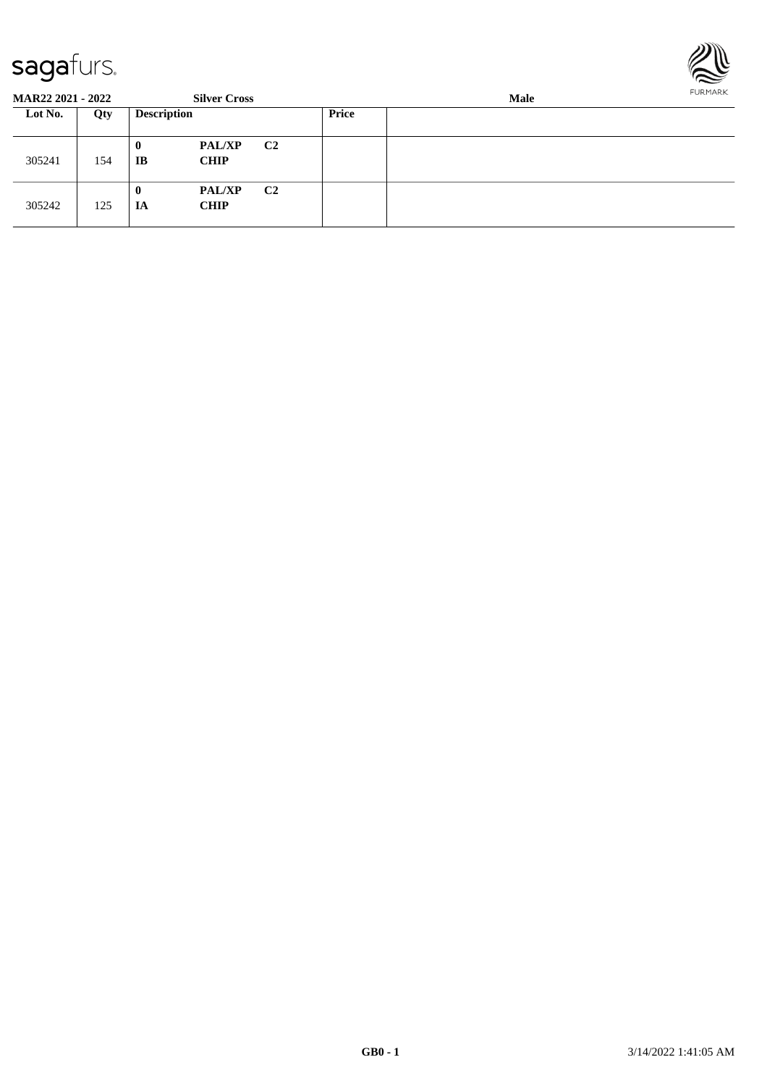

| <b>MAR22 2021 - 2022</b> |     |                    | <b>Silver Cross</b>          |                |              | FURMARK |  |
|--------------------------|-----|--------------------|------------------------------|----------------|--------------|---------|--|
| Lot No.                  | Qty | <b>Description</b> |                              |                | <b>Price</b> |         |  |
| 305241                   | 154 | $\bf{0}$<br>IB     | <b>PAL/XP</b><br><b>CHIP</b> | C2             |              |         |  |
| 305242                   | 125 | 0<br>IA            | <b>PAL/XP</b><br><b>CHIP</b> | C <sub>2</sub> |              |         |  |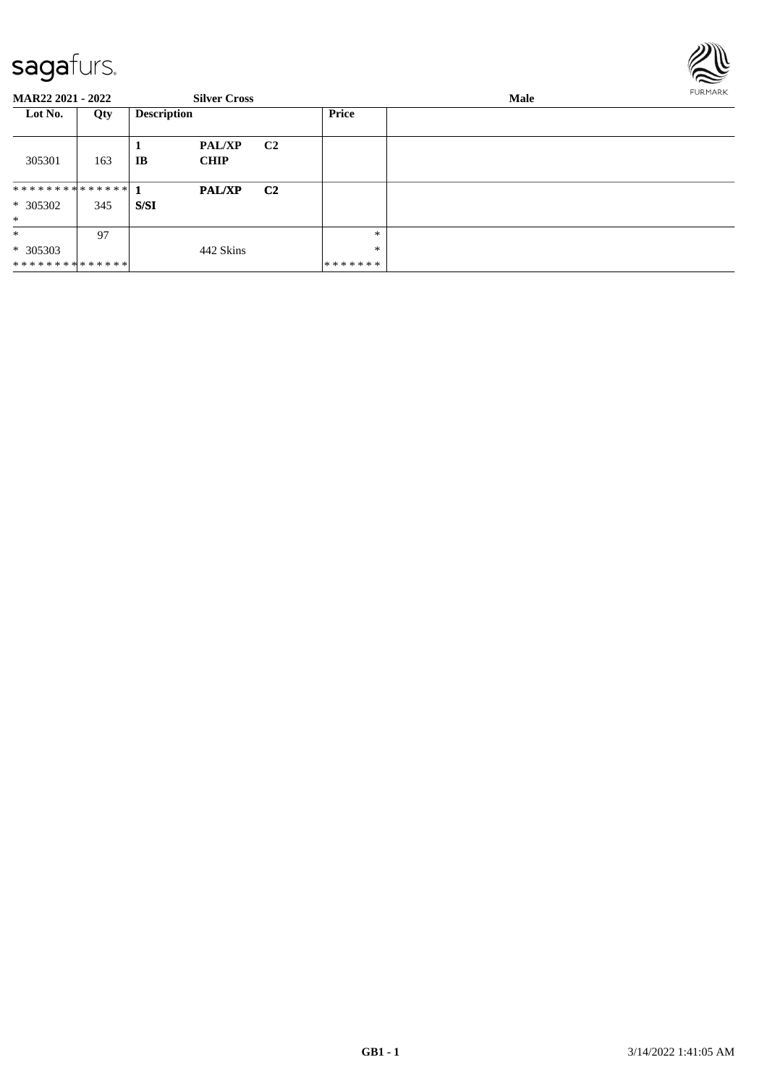

| <b>MAR22 2021 - 2022</b>               |     |                    | <b>Silver Cross</b>          |                |                              | Male | <b>FURMARK</b> |
|----------------------------------------|-----|--------------------|------------------------------|----------------|------------------------------|------|----------------|
| Lot No.                                | Qty | <b>Description</b> |                              |                | <b>Price</b>                 |      |                |
| 305301                                 | 163 | IB                 | <b>PAL/XP</b><br><b>CHIP</b> | C <sub>2</sub> |                              |      |                |
| $* 305302$<br>$*$                      | 345 | S/SI               | <b>PAL/XP</b>                | C <sub>2</sub> |                              |      |                |
| $\ast$<br>$* 305303$<br>************** | 97  |                    | 442 Skins                    |                | $\ast$<br>∗<br>* * * * * * * |      |                |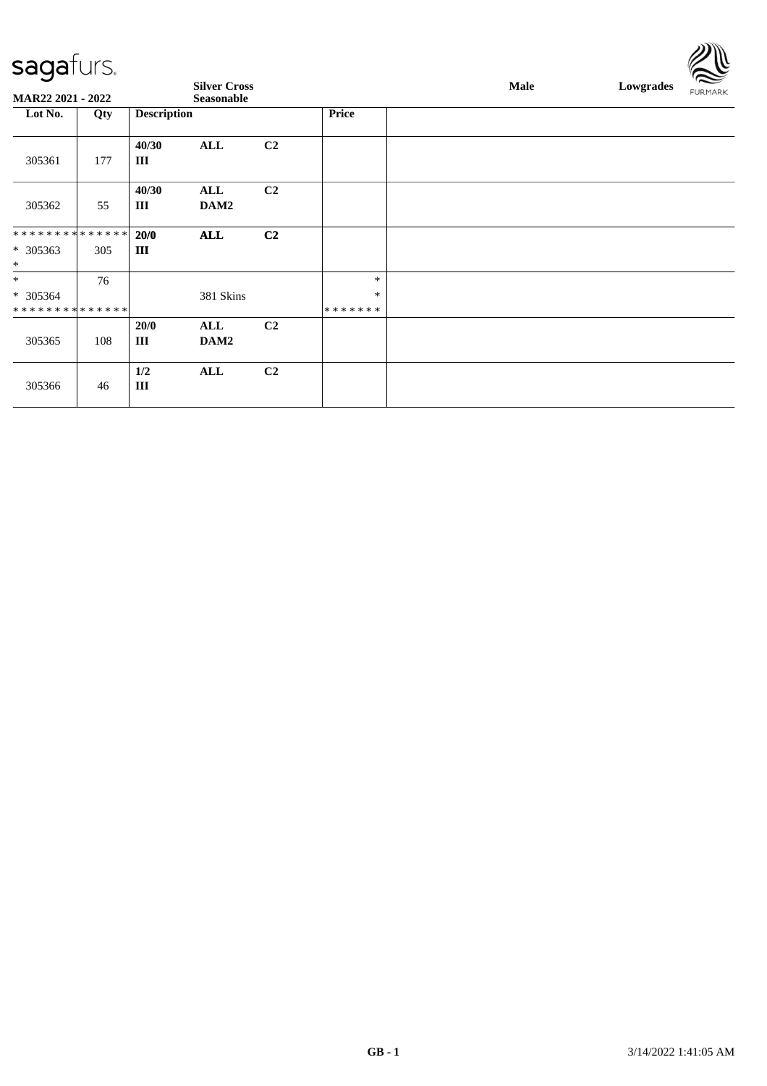|                                                                    | $-$ -g- $-$ |                    |                                   |                |                             |             |           | $\approx$      |
|--------------------------------------------------------------------|-------------|--------------------|-----------------------------------|----------------|-----------------------------|-------------|-----------|----------------|
| <b>MAR22 2021 - 2022</b>                                           |             |                    | <b>Silver Cross</b><br>Seasonable |                |                             | <b>Male</b> | Lowgrades | <b>FURMARK</b> |
| Lot No.                                                            | Qty         | <b>Description</b> |                                   |                | <b>Price</b>                |             |           |                |
| 305361                                                             | 177         | 40/30<br>Ш         | <b>ALL</b>                        | C <sub>2</sub> |                             |             |           |                |
| 305362                                                             | 55          | 40/30<br>Ш         | ALL<br>DAM2                       | C <sub>2</sub> |                             |             |           |                |
| * * * * * * * * <mark>* * * * * *</mark> *<br>$* 305363$<br>$\ast$ | 305         | 20/0<br>III        | <b>ALL</b>                        | C2             |                             |             |           |                |
| $\ast$<br>* 305364<br>* * * * * * * * * * * * * *                  | 76          |                    | 381 Skins                         |                | $\ast$<br>$\ast$<br>******* |             |           |                |
| 305365                                                             | 108         | 20/0<br>Ш          | ALL<br>DAM2                       | C <sub>2</sub> |                             |             |           |                |
| 305366                                                             | 46          | 1/2<br>III         | <b>ALL</b>                        | C <sub>2</sub> |                             |             |           |                |

 $\mathbb{Z} \mathbb{R}$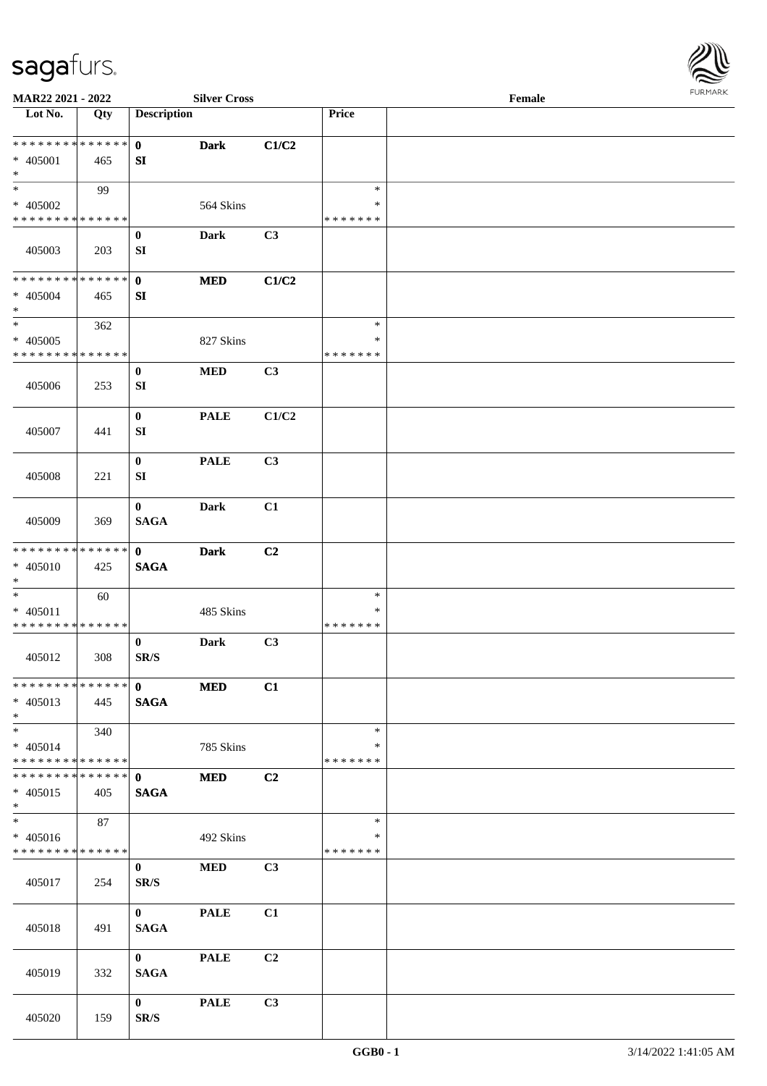

| MAR22 2021 - 2022                                                     |     |                                      | <b>Silver Cross</b> |                |                                   | Female |  |
|-----------------------------------------------------------------------|-----|--------------------------------------|---------------------|----------------|-----------------------------------|--------|--|
| Lot No.                                                               | Qty | <b>Description</b>                   |                     |                | Price                             |        |  |
| ******** <mark>******</mark><br>$* 405001$<br>$\ast$                  | 465 | $\mathbf{0}$<br>SI                   | <b>Dark</b>         | C1/C2          |                                   |        |  |
| $\overline{\ast}$<br>* 405002<br>* * * * * * * * * * * * * *          | 99  |                                      | 564 Skins           |                | $\ast$<br>∗<br>* * * * * * *      |        |  |
| 405003                                                                | 203 | $\bf{0}$<br>SI                       | Dark                | C3             |                                   |        |  |
| * * * * * * * * * * * * * *<br>$* 405004$<br>$\ast$                   | 465 | $\mathbf{0}$<br>SI                   | <b>MED</b>          | C1/C2          |                                   |        |  |
| $\ast$<br>$* 405005$<br>* * * * * * * * * * * * * *                   | 362 |                                      | 827 Skins           |                | $\ast$<br>$\ast$<br>* * * * * * * |        |  |
| 405006                                                                | 253 | $\bf{0}$<br>SI                       | $\bf MED$           | C3             |                                   |        |  |
| 405007                                                                | 441 | $\bf{0}$<br>SI                       | <b>PALE</b>         | C1/C2          |                                   |        |  |
| 405008                                                                | 221 | $\boldsymbol{0}$<br>SI               | <b>PALE</b>         | C3             |                                   |        |  |
| 405009                                                                | 369 | $\bf{0}$<br><b>SAGA</b>              | <b>Dark</b>         | C1             |                                   |        |  |
| * * * * * * * * * * * * * *<br>$* 405010$<br>$*$                      | 425 | $\mathbf{0}$<br><b>SAGA</b>          | <b>Dark</b>         | C <sub>2</sub> |                                   |        |  |
| $\ast$<br>$* 405011$<br>* * * * * * * * * * * * * *                   | 60  |                                      | 485 Skins           |                | $\ast$<br>$\ast$<br>* * * * * * * |        |  |
| 405012                                                                | 308 | $\bf{0}$<br>$\mathbf{SR}/\mathbf{S}$ | Dark                | C3             |                                   |        |  |
| **************<br>$* 405013$<br>$*$                                   | 445 | $\mathbf{0}$<br><b>SAGA</b>          | <b>MED</b>          | C1             |                                   |        |  |
| $*$<br>$* 405014$<br>* * * * * * * * * * * * * * *                    | 340 |                                      | 785 Skins           |                | $\ast$<br>∗<br>* * * * * * *      |        |  |
| * * * * * * * * * * * * * * *<br>$* 405015$<br>$*$                    | 405 | $\mathbf{0}$<br><b>SAGA</b>          | <b>MED</b>          | C2             |                                   |        |  |
| $\overline{\phantom{0}}$<br>$* 405016$<br>* * * * * * * * * * * * * * | 87  |                                      | 492 Skins           |                | $\ast$<br>∗<br>* * * * * * *      |        |  |
| 405017                                                                | 254 | $\bf{0}$<br>SR/S                     | <b>MED</b>          | C3             |                                   |        |  |
| 405018                                                                | 491 | $\mathbf{0}$<br><b>SAGA</b>          | <b>PALE</b>         | C1             |                                   |        |  |
| 405019                                                                | 332 | $\mathbf{0}$<br><b>SAGA</b>          | <b>PALE</b>         | C2             |                                   |        |  |
| 405020                                                                | 159 | $\mathbf{0}$<br>SR/S                 | <b>PALE</b>         | C3             |                                   |        |  |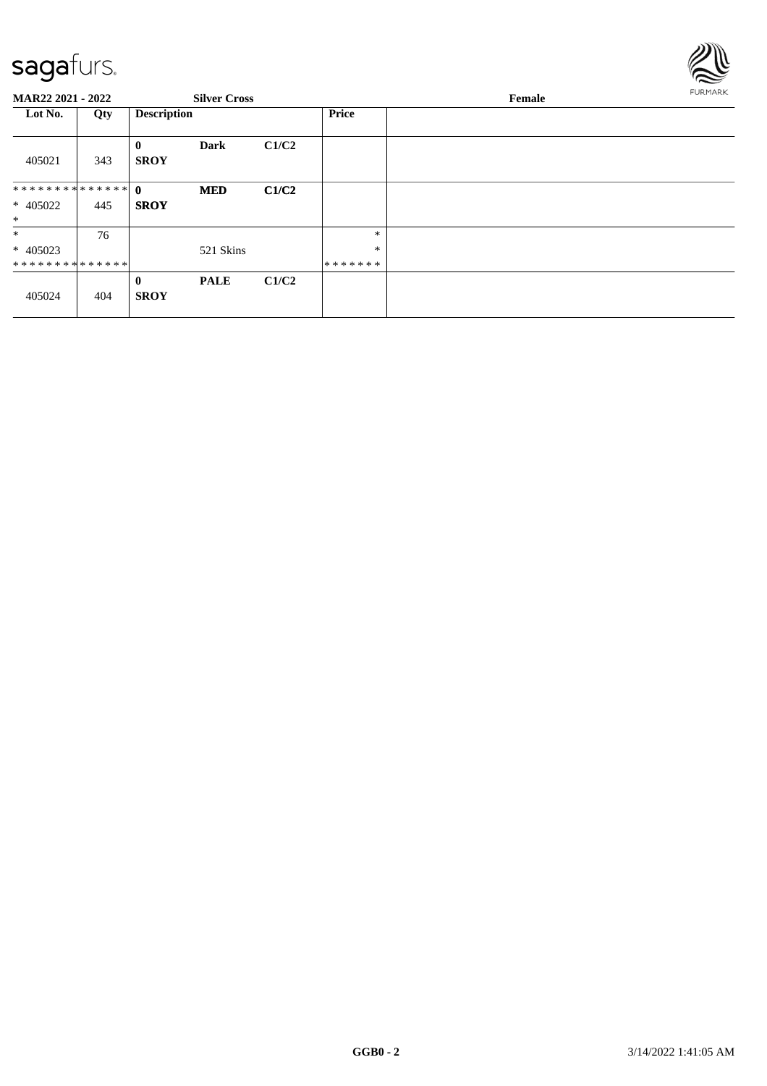

| <b>MAR22 2021 - 2022</b>               |     |                             | <b>Silver Cross</b> |       |                        | Female | <b>FURMARK</b> |
|----------------------------------------|-----|-----------------------------|---------------------|-------|------------------------|--------|----------------|
| Lot No.                                | Qty | <b>Description</b>          |                     |       | <b>Price</b>           |        |                |
| 405021                                 | 343 | $\bf{0}$<br><b>SROY</b>     | <b>Dark</b>         | C1/C2 |                        |        |                |
| ************** 0<br>* 405022<br>$\ast$ | 445 | <b>SROY</b>                 | <b>MED</b>          | C1/C2 |                        |        |                |
| $*$<br>* 405023<br>**************      | 76  |                             | 521 Skins           |       | *<br>$\ast$<br>******* |        |                |
| 405024                                 | 404 | $\mathbf{0}$<br><b>SROY</b> | <b>PALE</b>         | C1/C2 |                        |        |                |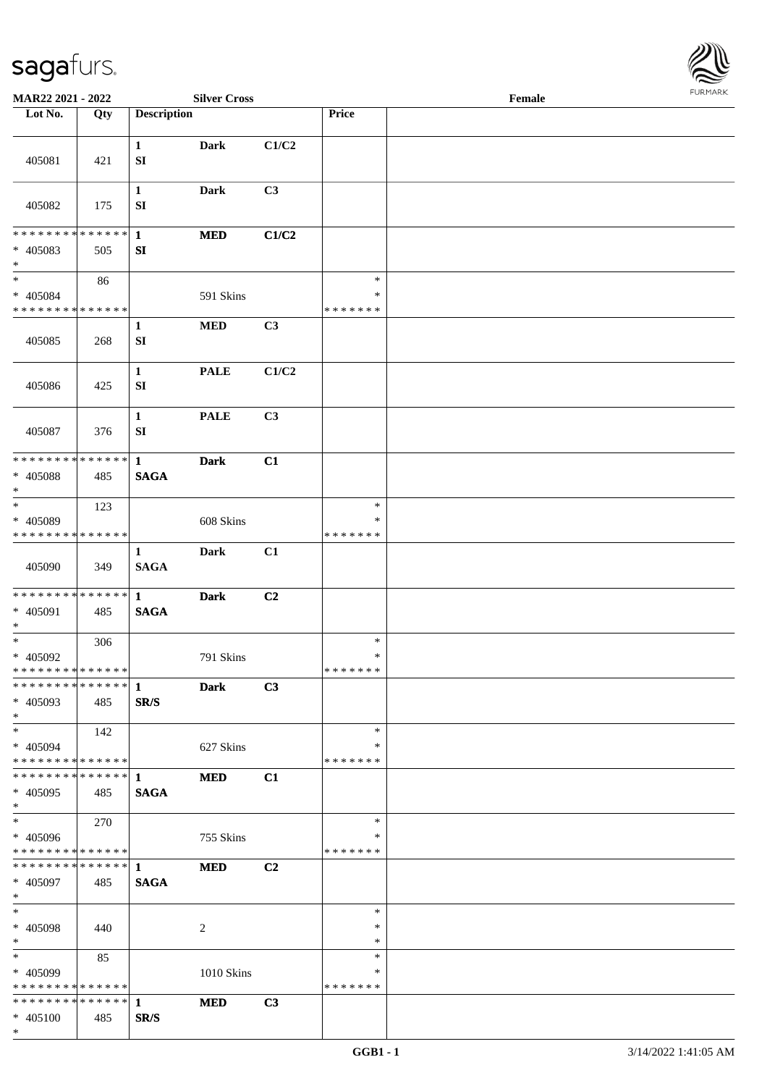

| MAR22 2021 - 2022                           |     |                    | <b>Silver Cross</b> |       |                    | Female |  |
|---------------------------------------------|-----|--------------------|---------------------|-------|--------------------|--------|--|
| Lot No.                                     | Qty | <b>Description</b> |                     |       | Price              |        |  |
|                                             |     |                    |                     |       |                    |        |  |
| 405081                                      | 421 | $\mathbf{1}$<br>SI | <b>Dark</b>         | C1/C2 |                    |        |  |
| 405082                                      | 175 | $\mathbf{1}$<br>SI | <b>Dark</b>         | C3    |                    |        |  |
| * * * * * * * * * * * * * * *               |     | $\mathbf{1}$       | <b>MED</b>          | C1/C2 |                    |        |  |
| * 405083<br>$\ast$                          | 505 | SI                 |                     |       |                    |        |  |
| $\ast$                                      | 86  |                    |                     |       | $\ast$             |        |  |
| $* 405084$                                  |     |                    | 591 Skins           |       | ∗                  |        |  |
| * * * * * * * * * * * * * * *               |     |                    |                     |       | * * * * * * *      |        |  |
| 405085                                      | 268 | $\mathbf{1}$<br>SI | $\bf MED$           | C3    |                    |        |  |
| 405086                                      | 425 | $\mathbf{1}$<br>SI | <b>PALE</b>         | C1/C2 |                    |        |  |
| 405087                                      | 376 | $\mathbf{1}$<br>SI | <b>PALE</b>         | C3    |                    |        |  |
| * * * * * * * * * * * * * * *               |     | $\mathbf{1}$       | <b>Dark</b>         | C1    |                    |        |  |
| * 405088<br>$\ast$                          | 485 | <b>SAGA</b>        |                     |       |                    |        |  |
| $_{\ast}$                                   | 123 |                    |                     |       | $\ast$             |        |  |
| * 405089                                    |     |                    | 608 Skins           |       | ∗                  |        |  |
| * * * * * * * * * * * * * *                 |     |                    |                     |       | * * * * * * *      |        |  |
| 405090                                      | 349 | 1<br><b>SAGA</b>   | <b>Dark</b>         | C1    |                    |        |  |
|                                             |     |                    | <b>Dark</b>         | C2    |                    |        |  |
| $* 405091$<br>$\ast$                        | 485 | <b>SAGA</b>        |                     |       |                    |        |  |
| $\ast$                                      | 306 |                    |                     |       | $\ast$             |        |  |
| * 405092                                    |     |                    | 791 Skins           |       | $\ast$             |        |  |
| **************                              |     |                    |                     |       | *******            |        |  |
| ************** 1<br>* 405093<br>$*$         | 485 | SR/S               | <b>Dark</b>         | C3    |                    |        |  |
| $*$                                         | 142 |                    |                     |       | $\ast$             |        |  |
| $* 405094$                                  |     |                    | 627 Skins           |       | ∗                  |        |  |
| * * * * * * * * * * * * * * *               |     |                    |                     |       | * * * * * * *      |        |  |
| ************** 1                            |     |                    | <b>MED</b>          | C1    |                    |        |  |
| * 405095                                    | 485 | <b>SAGA</b>        |                     |       |                    |        |  |
| $*$<br>$\overline{\phantom{1}}$             |     |                    |                     |       |                    |        |  |
|                                             | 270 |                    |                     |       | $\ast$             |        |  |
| $* 405096$<br>* * * * * * * * * * * * * * * |     |                    | 755 Skins           |       | ∗<br>* * * * * * * |        |  |
| ******** <mark>******</mark> 1              |     |                    |                     |       |                    |        |  |
| * 405097<br>$*$                             | 485 | <b>SAGA</b>        | <b>MED</b>          | C2    |                    |        |  |
| $\ast$                                      |     |                    |                     |       | $\ast$             |        |  |
| * 405098<br>$*$                             | 440 |                    | 2                   |       | $\ast$<br>$\ast$   |        |  |
| $*$                                         | 85  |                    |                     |       | $\ast$             |        |  |
| * 405099                                    |     |                    | 1010 Skins          |       | ∗                  |        |  |
| * * * * * * * * * * * * * * *               |     |                    |                     |       | * * * * * * *      |        |  |
| * * * * * * * * * * * * * * *               |     | $\mathbf{1}$       | <b>MED</b>          | C3    |                    |        |  |
| $* 405100$                                  | 485 | SR/S               |                     |       |                    |        |  |
| $*$                                         |     |                    |                     |       |                    |        |  |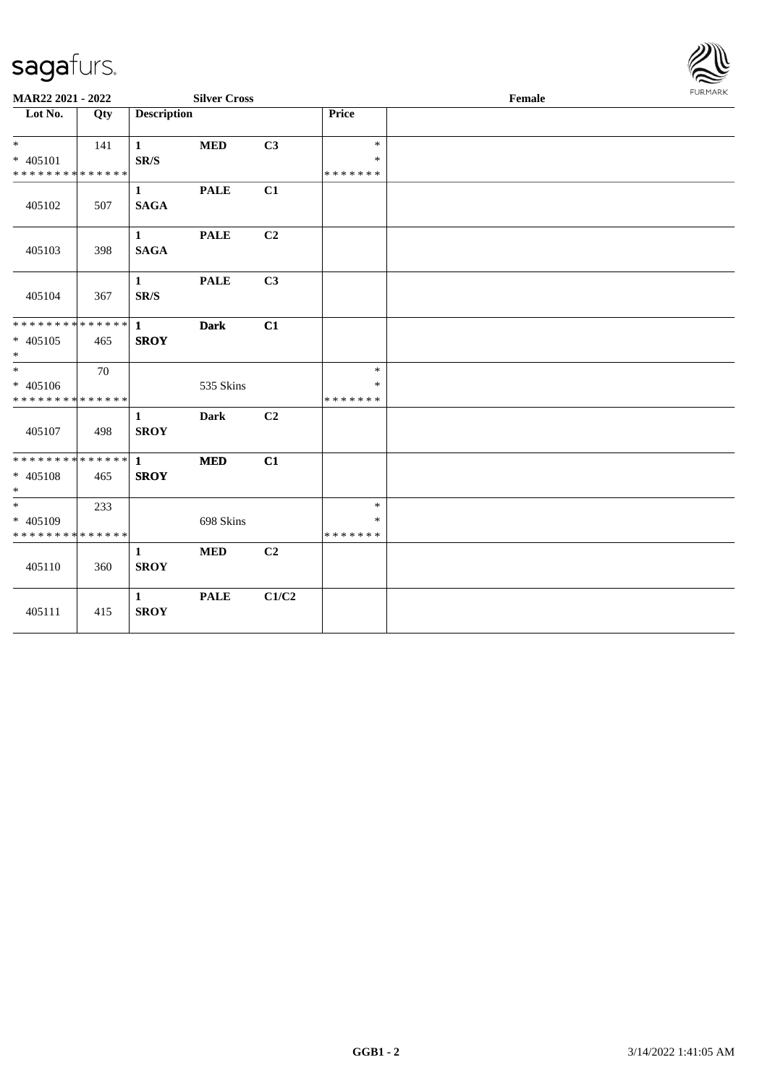

| MAR22 2021 - 2022                                    |     |                             | <b>Silver Cross</b> |                |                   | 1.91111111 |  |
|------------------------------------------------------|-----|-----------------------------|---------------------|----------------|-------------------|------------|--|
| Lot No.                                              | Qty | <b>Description</b>          |                     |                | Price             |            |  |
| $*$ $-$<br>* 405101                                  | 141 | $\mathbf{1}$<br>SR/S        | <b>MED</b>          | C3             | $\ast$<br>$\ast$  |            |  |
| * * * * * * * * <mark>* * * * * *</mark>             |     |                             |                     |                | * * * * * * *     |            |  |
| 405102                                               | 507 | $\mathbf{1}$<br><b>SAGA</b> | <b>PALE</b>         | C1             |                   |            |  |
| 405103                                               | 398 | $\mathbf{1}$<br><b>SAGA</b> | <b>PALE</b>         | C2             |                   |            |  |
| 405104                                               | 367 | $\mathbf{1}$<br>SR/S        | <b>PALE</b>         | C3             |                   |            |  |
|                                                      |     |                             | <b>Dark</b>         | C1             |                   |            |  |
| * 405105<br>$*$                                      | 465 | <b>SROY</b>                 |                     |                |                   |            |  |
|                                                      | 70  |                             |                     |                | $\ast$            |            |  |
| * 405106<br>* * * * * * * * <mark>* * * * * *</mark> |     |                             | 535 Skins           |                | *<br>*******      |            |  |
| 405107                                               | 498 | $\mathbf{1}$<br><b>SROY</b> | <b>Dark</b>         | C <sub>2</sub> |                   |            |  |
| * * * * * * * * * * * * * * *                        |     | $\mathbf{1}$                | <b>MED</b>          | C1             |                   |            |  |
| * 405108<br>$*$                                      | 465 | <b>SROY</b>                 |                     |                |                   |            |  |
| $*$                                                  | 233 |                             |                     |                | $\ast$            |            |  |
| * 405109<br>* * * * * * * * * * * * * *              |     |                             | 698 Skins           |                | $\ast$<br>******* |            |  |
| 405110                                               | 360 | $\mathbf{1}$<br><b>SROY</b> | <b>MED</b>          | C2             |                   |            |  |
| 405111                                               | 415 | $\mathbf{1}$<br><b>SROY</b> | <b>PALE</b>         | C1/C2          |                   |            |  |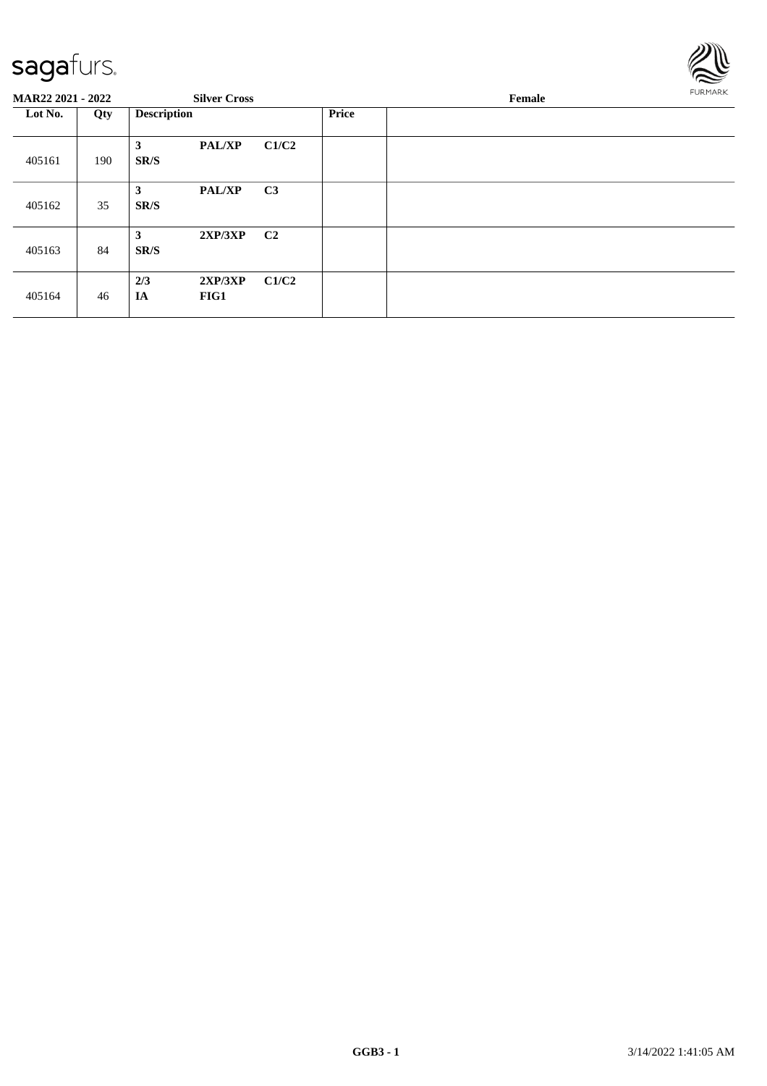

| <b>MAR22 2021 - 2022</b> |     |                    | <b>Silver Cross</b> |                |              | FURMARK |  |
|--------------------------|-----|--------------------|---------------------|----------------|--------------|---------|--|
| Lot No.<br>Qty           |     | <b>Description</b> |                     |                | <b>Price</b> |         |  |
| 405161                   | 190 | 3<br>SR/S          | <b>PAL/XP</b>       | C1/C2          |              |         |  |
| 405162                   | 35  | 3<br>SR/S          | <b>PAL/XP</b>       | C <sub>3</sub> |              |         |  |
| 405163                   | 84  | 3<br>SR/S          | 2XP/3XP             | C <sub>2</sub> |              |         |  |
| 405164                   | 46  | 2/3<br>IA          | 2XP/3XP<br>FIG1     | C1/C2          |              |         |  |